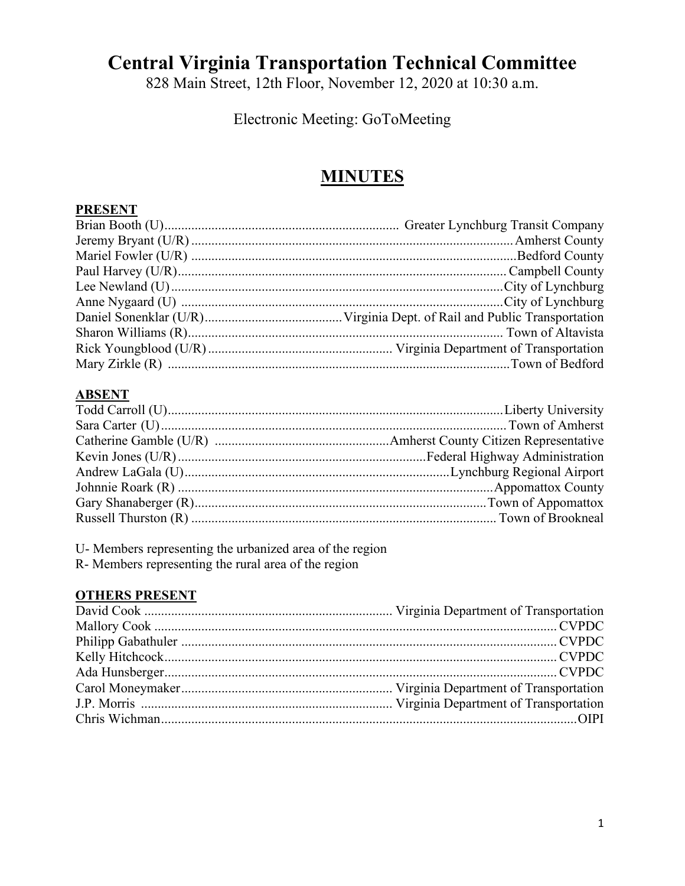# **Central Virginia Transportation Technical Committee**

828 Main Street, 12th Floor, November 12, 2020 at 10:30 a.m.

Electronic Meeting: GoToMeeting

## **MINUTES**

#### **PRESENT**

#### **ABSENT**

U- Members representing the urbanized area of the region R- Members representing the rural area of the region

#### **OTHERS PRESENT**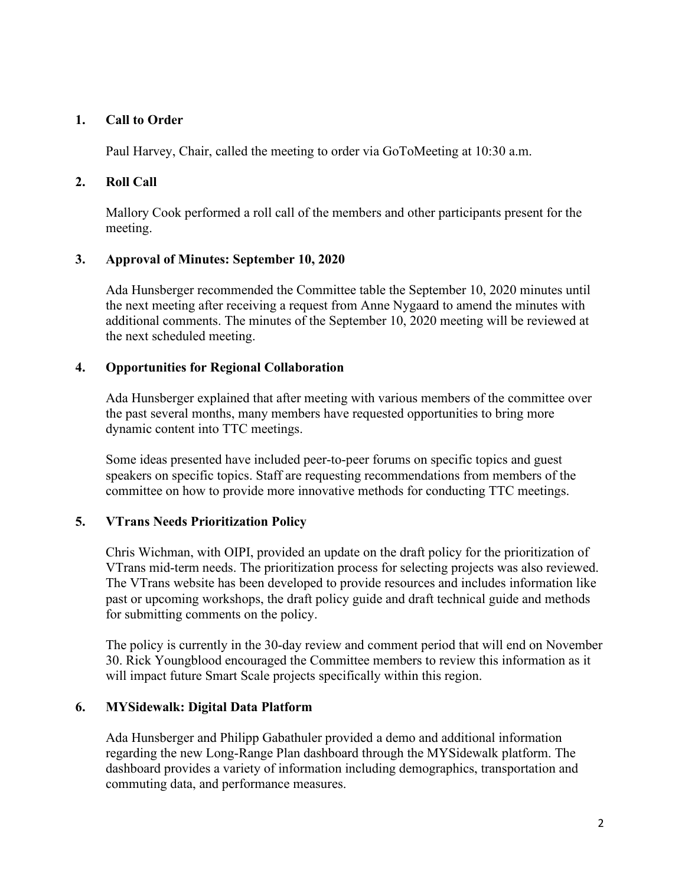#### **1. Call to Order**

Paul Harvey, Chair, called the meeting to order via GoToMeeting at 10:30 a.m.

#### **2. Roll Call**

Mallory Cook performed a roll call of the members and other participants present for the meeting.

#### **3. Approval of Minutes: September 10, 2020**

Ada Hunsberger recommended the Committee table the September 10, 2020 minutes until the next meeting after receiving a request from Anne Nygaard to amend the minutes with additional comments. The minutes of the September 10, 2020 meeting will be reviewed at the next scheduled meeting.

#### **4. Opportunities for Regional Collaboration**

Ada Hunsberger explained that after meeting with various members of the committee over the past several months, many members have requested opportunities to bring more dynamic content into TTC meetings.

Some ideas presented have included peer-to-peer forums on specific topics and guest speakers on specific topics. Staff are requesting recommendations from members of the committee on how to provide more innovative methods for conducting TTC meetings.

#### **5. VTrans Needs Prioritization Policy**

Chris Wichman, with OIPI, provided an update on the draft policy for the prioritization of VTrans mid-term needs. The prioritization process for selecting projects was also reviewed. The VTrans website has been developed to provide resources and includes information like past or upcoming workshops, the draft policy guide and draft technical guide and methods for submitting comments on the policy.

The policy is currently in the 30-day review and comment period that will end on November 30. Rick Youngblood encouraged the Committee members to review this information as it will impact future Smart Scale projects specifically within this region.

#### **6. MYSidewalk: Digital Data Platform**

Ada Hunsberger and Philipp Gabathuler provided a demo and additional information regarding the new Long-Range Plan dashboard through the MYSidewalk platform. The dashboard provides a variety of information including demographics, transportation and commuting data, and performance measures.